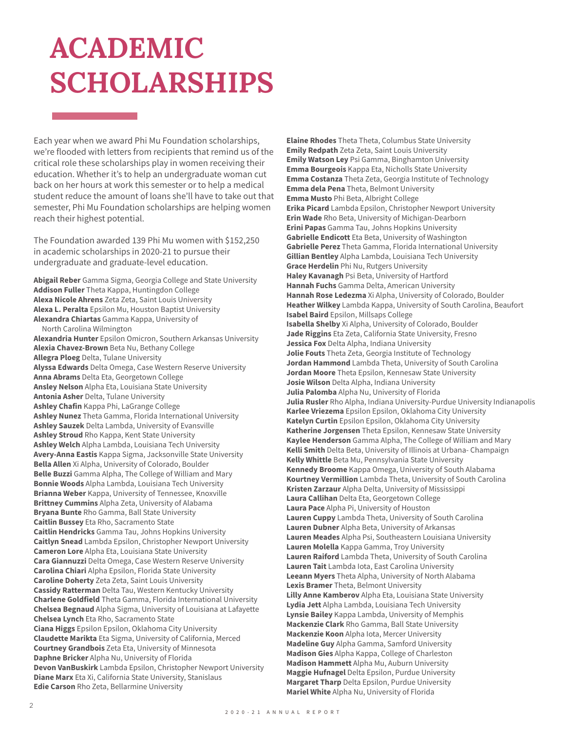## **ACADEMIC SCHOLARSHIPS**

Each year when we award Phi Mu Foundation scholarships, we're flooded with letters from recipients that remind us of the critical role these scholarships play in women receiving their education. Whether it's to help an undergraduate woman cut back on her hours at work this semester or to help a medical student reduce the amount of loans she'll have to take out that semester, Phi Mu Foundation scholarships are helping women reach their highest potential.

The Foundation awarded 139 Phi Mu women with \$152,250 in academic scholarships in 2020-21 to pursue their undergraduate and graduate-level education.

**Abigail Reber** Gamma Sigma, Georgia College and State University **Addison Fuller** Theta Kappa, Huntingdon College **Alexa Nicole Ahrens** Zeta Zeta, Saint Louis University **Alexa L. Peralta** Epsilon Mu, Houston Baptist University **Alexandra Chiartas** Gamma Kappa, University of North Carolina Wilmington **Alexandria Hunter** Epsilon Omicron, Southern Arkansas University **Alexia Chavez-Brown** Beta Nu, Bethany College **Allegra Ploeg** Delta, Tulane University **Alyssa Edwards** Delta Omega, Case Western Reserve University **Anna Abrams** Delta Eta, Georgetown College **Ansley Nelson** Alpha Eta, Louisiana State University **Antonia Asher** Delta, Tulane University **Ashley Chafin** Kappa Phi, LaGrange College **Ashley Nunez** Theta Gamma, Florida International University **Ashley Sauzek** Delta Lambda, University of Evansville **Ashley Stroud** Rho Kappa, Kent State University **Ashley Welch** Alpha Lambda, Louisiana Tech University **Avery-Anna Eastis** Kappa Sigma, Jacksonville State University **Bella Allen** Xi Alpha, University of Colorado, Boulder **Belle Buzzi** Gamma Alpha, The College of William and Mary **Bonnie Woods** Alpha Lambda, Louisiana Tech University **Brianna Weber** Kappa, University of Tennessee, Knoxville **Brittney Cummins** Alpha Zeta, University of Alabama **Bryana Bunte** Rho Gamma, Ball State University **Caitlin Bussey** Eta Rho, Sacramento State **Caitlin Hendricks** Gamma Tau, Johns Hopkins University **Caitlyn Snead** Lambda Epsilon, Christopher Newport University **Cameron Lore** Alpha Eta, Louisiana State University **Cara Giannuzzi** Delta Omega, Case Western Reserve University **Carolina Chiari** Alpha Epsilon, Florida State University **Caroline Doherty** Zeta Zeta, Saint Louis University **Cassidy Ratterman** Delta Tau, Western Kentucky University **Charlene Goldfield** Theta Gamma, Florida International University **Chelsea Begnaud** Alpha Sigma, University of Louisiana at Lafayette **Chelsea Lynch** Eta Rho, Sacramento State **Ciana Higgs** Epsilon Epsilon, Oklahoma City University **Claudette Marikta** Eta Sigma, University of California, Merced **Courtney Grandbois** Zeta Eta, University of Minnesota **Daphne Bricker** Alpha Nu, University of Florida **Devon VanBuskirk** Lambda Epsilon, Christopher Newport University **Diane Marx** Eta Xi, California State University, Stanislaus **Edie Carson** Rho Zeta, Bellarmine University

**Elaine Rhodes** Theta Theta, Columbus State University **Emily Redpath** Zeta Zeta, Saint Louis University **Emily Watson Ley** Psi Gamma, Binghamton University **Emma Bourgeois** Kappa Eta, Nicholls State University **Emma Costanza** Theta Zeta, Georgia Institute of Technology **Emma dela Pena** Theta, Belmont University **Emma Musto** Phi Beta, Albright College **Erika Picard** Lambda Epsilon, Christopher Newport University **Erin Wade** Rho Beta, University of Michigan-Dearborn **Erini Papas** Gamma Tau, Johns Hopkins University **Gabrielle Endicott** Eta Beta, University of Washington **Gabrielle Perez** Theta Gamma, Florida International University **Gillian Bentley** Alpha Lambda, Louisiana Tech University **Grace Herdelin** Phi Nu, Rutgers University **Haley Kavanagh** Psi Beta, University of Hartford **Hannah Fuchs** Gamma Delta, American University **Hannah Rose Ledezma** Xi Alpha, University of Colorado, Boulder **Heather Wilkey** Lambda Kappa, University of South Carolina, Beaufort **Isabel Baird** Epsilon, Millsaps College **Isabella Shelby** Xi Alpha, University of Colorado, Boulder **Jade Riggins** Eta Zeta, California State University, Fresno **Jessica Fox** Delta Alpha, Indiana University **Jolie Fouts** Theta Zeta, Georgia Institute of Technology **Jordan Hammond** Lambda Theta, University of South Carolina **Jordan Moore** Theta Epsilon, Kennesaw State University **Josie Wilson** Delta Alpha, Indiana University **Julia Palomba** Alpha Nu, University of Florida **Julia Rusler** Rho Alpha, Indiana University-Purdue University Indianapolis **Karlee Vriezema** Epsilon Epsilon, Oklahoma City University **Katelyn Curtin** Epsilon Epsilon, Oklahoma City University **Katherine Jorgensen** Theta Epsilon, Kennesaw State University **Kaylee Henderson** Gamma Alpha, The College of William and Mary **Kelli Smith** Delta Beta, University of Illinois at Urbana- Champaign **Kelly Whittle** Beta Mu, Pennsylvania State University **Kennedy Broome** Kappa Omega, University of South Alabama **Kourtney Vermillion** Lambda Theta, University of South Carolina **Kristen Zarzaur** Alpha Delta, University of Mississippi **Laura Callihan** Delta Eta, Georgetown College **Laura Pace** Alpha Pi, University of Houston **Lauren Cuppy** Lambda Theta, University of South Carolina **Lauren Dubner** Alpha Beta, University of Arkansas **Lauren Meades** Alpha Psi, Southeastern Louisiana University **Lauren Molella** Kappa Gamma, Troy University **Lauren Raiford** Lambda Theta, University of South Carolina **Lauren Tait** Lambda Iota, East Carolina University **Leeann Myers** Theta Alpha, University of North Alabama **Lexis Bramer** Theta, Belmont University **Lilly Anne Kamberov** Alpha Eta, Louisiana State University **Lydia Jett** Alpha Lambda, Louisiana Tech University **Lynsie Bailey** Kappa Lambda, University of Memphis **Mackenzie Clark** Rho Gamma, Ball State University **Mackenzie Koon** Alpha Iota, Mercer University **Madeline Guy** Alpha Gamma, Samford University **Madison Gies** Alpha Kappa, College of Charleston **Madison Hammett** Alpha Mu, Auburn University **Maggie Hufnagel** Delta Epsilon, Purdue University **Margaret Tharp** Delta Epsilon, Purdue University **Mariel White** Alpha Nu, University of Florida